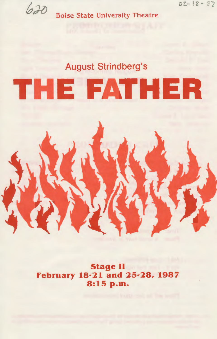*o* l.- IS'- '87

*h* **<sup>D</sup>** Boise State University Theatre

### August Strindberg's

# THE FATHER

Stage II February 18·21 and 25·28, 1987 8:15 p.m.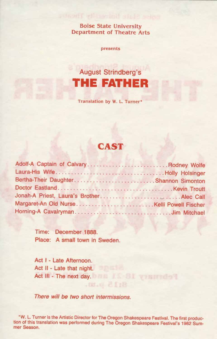Boise State University Department of Theatre Arts

presents

## August Strindberg's **THE FATHER**

Translation by W. L. Turner•

### **CAST**

| Adolf-A Captain of CalvaryRodney Wolfe |  |
|----------------------------------------|--|
| Laura-His WifeHolly Holsinger          |  |
| Bertha-Their DaughterShannon Simonton  |  |
|                                        |  |
|                                        |  |
|                                        |  |
| Horning-A CavalrymanJim Mitchael       |  |

Time: December 1888. Place: A small town in Sweden.

Act I - Late Afternoon. Act II - Late that night. Act Ill - The next day.

There will be two short intermissions.

\*W. L. Turner is the Artistic Director for The Oregon Shakespeare Festival. The first production of this translation was performed during The Oregon Shakespeare Festival's 1982 Summer Season.

8:15 D.M.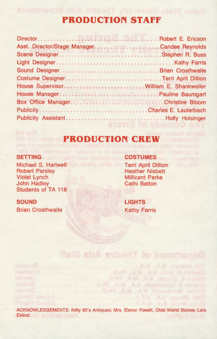### **PRODUCTION STAFF**

ise State University Theatre Arts Department

| Asst. Director/Stage ManagerCandee Reynolds |
|---------------------------------------------|
|                                             |
|                                             |
|                                             |
|                                             |
| House Supervisor William E. Shankweiler     |
|                                             |
| Box Office ManagerChristine Bloom           |
|                                             |
|                                             |
|                                             |

#### **PRODUCTION CREW**

#### **SETTING**

Michael S. Hartwell Robert Parsley Violet Lynch John Hadley Students of TA 118

#### **SOUND**

Brian Crosthwaite

**COSTUMES**  Terri April Dillion Heather Nisbett Millicent Parke Cathi Batton

**LIGHTS**  Kathy Farris

Department of Theatre Arts Staff

ACKNOWLEDGEMENTS: Nifty 90's Antiques; Mrs. Elenor Powell , Olde World Stoves; Lars Eklind.